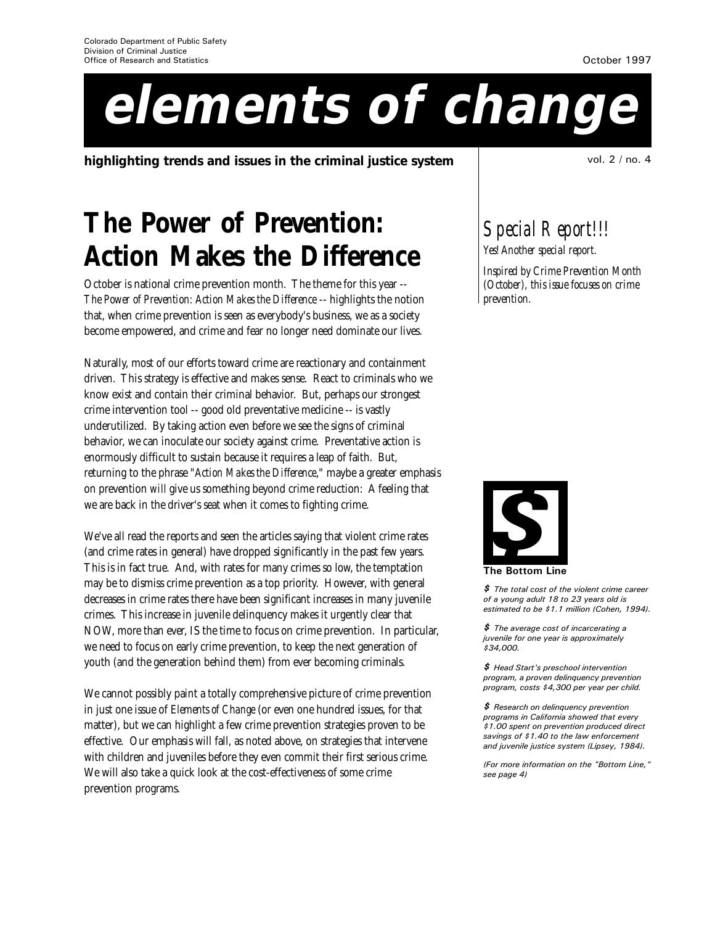# **elements of change**

**highlighting trends and issues in the criminal justice system** vol. 2 / no. 4

# **The Power of Prevention: Action Makes the Difference**

October is national crime prevention month. The theme for this year -- *The Power of Prevention: Action Makes the Difference* -- highlights the notion that, when crime prevention is seen as everybody's business, we as a society become empowered, and crime and fear no longer need dominate our lives.

Naturally, most of our efforts toward crime are reactionary and containment driven. This strategy is effective and makes sense. React to criminals who we know exist and contain their criminal behavior. But, perhaps our strongest crime intervention tool -- good old preventative medicine -- is vastly underutilized. By taking action even before we see the signs of criminal behavior, we can inoculate our society against crime. Preventative action is enormously difficult to sustain because it requires a leap of faith. But, returning to the phrase "*Action Makes the Difference*," maybe a greater emphasis on prevention *will* give us something beyond crime reduction: A feeling that we are back in the driver's seat when it comes to fighting crime.

We've all read the reports and seen the articles saying that violent crime rates (and crime rates in general) have dropped significantly in the past few years. This is in fact true. And, with rates for many crimes so low, the temptation may be to dismiss crime prevention as a top priority. However, with general decreases in crime rates there have been significant increases in many juvenile crimes. This increase in juvenile delinquency makes it urgently clear that NOW, more than ever, IS the time to focus on crime prevention. In particular, we need to focus on early crime prevention, to keep the next generation of youth (and the generation behind them) from ever becoming criminals.

We cannot possibly paint a totally comprehensive picture of crime prevention in just one issue of *Elements of Change* (or even one hundred issues, for that matter), but we can highlight a few crime prevention strategies proven to be effective. Our emphasis will fall, as noted above, on strategies that intervene with children and juveniles before they even commit their first serious crime. We will also take a quick look at the cost-effectiveness of some crime prevention programs.

*Special Report!!!*

*Yes! Another special report.*

*Inspired by Crime Prevention Month (October), this issue focuses on crime prevention.*



The Bottom Line

 $$$  The total cost of the violent crime career of a young adult 18 to 23 years old is estimated to be \$1.1 million (Cohen, 1994).

\$ The average cost of incarcerating a juvenile for one year is approximately \$34,000.

\$ Head Start's preschool intervention program, a proven delinquency prevention program, costs \$4,300 per year per child.

\$ Research on delinquency prevention programs in California showed that every \$1.00 spent on prevention produced direct savings of \$1.40 to the law enforcement and juvenile justice system (Lipsey, 1984).

(For more information on the "Bottom Line," see page 4)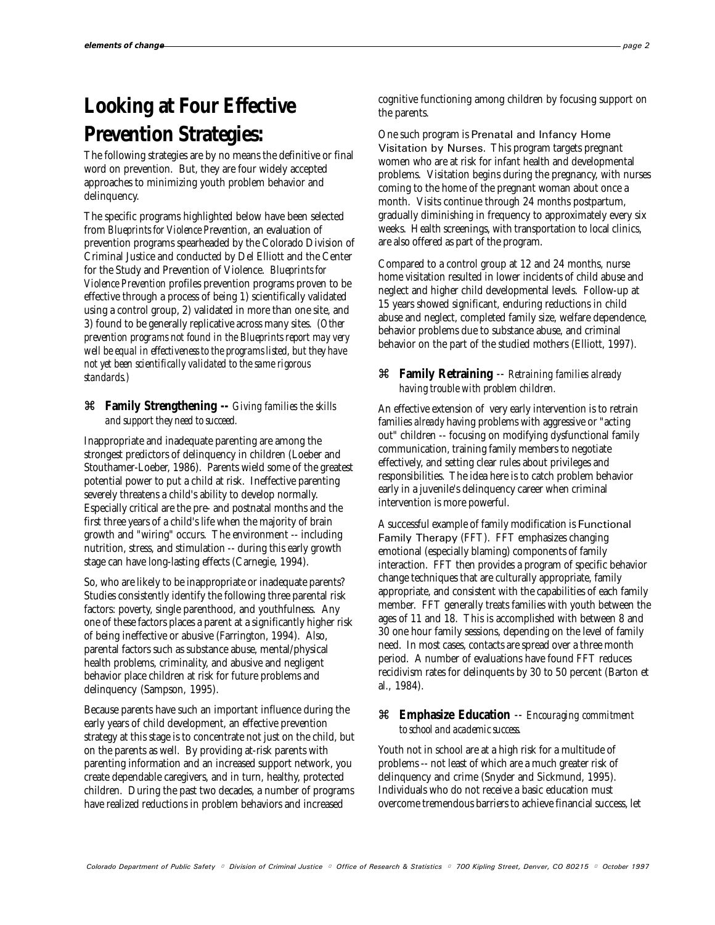# **Looking at Four Effective Prevention Strategies:**

The following strategies are by no means the definitive or final word on prevention. But, they are four widely accepted approaches to minimizing youth problem behavior and delinquency.

The specific programs highlighted below have been selected from *Blueprints for Violence Prevention*, an evaluation of prevention programs spearheaded by the Colorado Division of Criminal Justice and conducted by Del Elliott and the Center for the Study and Prevention of Violence. *Blueprints for Violence Prevention* profiles prevention programs proven to be effective through a process of being 1) scientifically validated using a control group, 2) validated in more than one site, and 3) found to be generally replicative across many sites. *(Other prevention programs not found in the Blueprints report may very well be equal in effectiveness to the programs listed, but they have not yet been scientifically validated to the same rigorous standards.)*

## z **Family Strengthening** *-- Giving families the skills and support they need to succeed.*

Inappropriate and inadequate parenting are among the strongest predictors of delinquency in children (Loeber and Stouthamer-Loeber, 1986). Parents wield some of the greatest potential power to put a child at risk. Ineffective parenting severely threatens a child's ability to develop normally. Especially critical are the pre- and postnatal months and the first three years of a child's life when the majority of brain growth and "wiring" occurs. The environment -- including nutrition, stress, and stimulation -- during this early growth stage can have long-lasting effects (Carnegie, 1994).

So, who are likely to be inappropriate or inadequate parents? Studies consistently identify the following three parental risk factors: poverty, single parenthood, and youthfulness. Any one of these factors places a parent at a significantly higher risk of being ineffective or abusive (Farrington, 1994). Also, parental factors such as substance abuse, mental/physical health problems, criminality, and abusive and negligent behavior place children at risk for future problems and delinquency (Sampson, 1995).

Because parents have such an important influence during the early years of child development, an effective prevention strategy at this stage is to concentrate not just on the child, but on the parents as well. By providing at-risk parents with parenting information and an increased support network, you create dependable caregivers, and in turn, healthy, protected children. During the past two decades, a number of programs have realized reductions in problem behaviors and increased

cognitive functioning among children by focusing support on the parents.

One such program is Prenatal and Infancy Home Visitation by Nurses. This program targets pregnant women who are at risk for infant health and developmental problems. Visitation begins during the pregnancy, with nurses coming to the home of the pregnant woman about once a month. Visits continue through 24 months postpartum, gradually diminishing in frequency to approximately every six weeks. Health screenings, with transportation to local clinics, are also offered as part of the program.

Compared to a control group at 12 and 24 months, nurse home visitation resulted in lower incidents of child abuse and neglect and higher child developmental levels. Follow-up at 15 years showed significant, enduring reductions in child abuse and neglect, completed family size, welfare dependence, behavior problems due to substance abuse, and criminal behavior on the part of the studied mothers (Elliott, 1997).

# z **Family Retraining** *-- Retraining families already having trouble with problem children.*

An effective extension of very early intervention is to retrain families *already* having problems with aggressive or "acting out" children -- focusing on modifying dysfunctional family communication, training family members to negotiate effectively, and setting clear rules about privileges and responsibilities. The idea here is to catch problem behavior early in a juvenile's delinquency career when criminal intervention is more powerful.

A successful example of family modification is Functional Family Therapy (FFT). FFT emphasizes changing emotional (especially blaming) components of family interaction. FFT then provides a program of specific behavior change techniques that are culturally appropriate, family appropriate, and consistent with the capabilities of each family member. FFT generally treats families with youth between the ages of 11 and 18. This is accomplished with between 8 and 30 one hour family sessions, depending on the level of family need. In most cases, contacts are spread over a three month period. A number of evaluations have found FFT reduces recidivism rates for delinquents by 30 to 50 percent (Barton et al., 1984).

## z **Emphasize Education** *-- Encouraging commitment to school and academic success.*

Youth not in school are at a high risk for a multitude of problems -- not least of which are a much greater risk of delinquency and crime (Snyder and Sickmund, 1995). Individuals who do not receive a basic education must overcome tremendous barriers to achieve financial success, let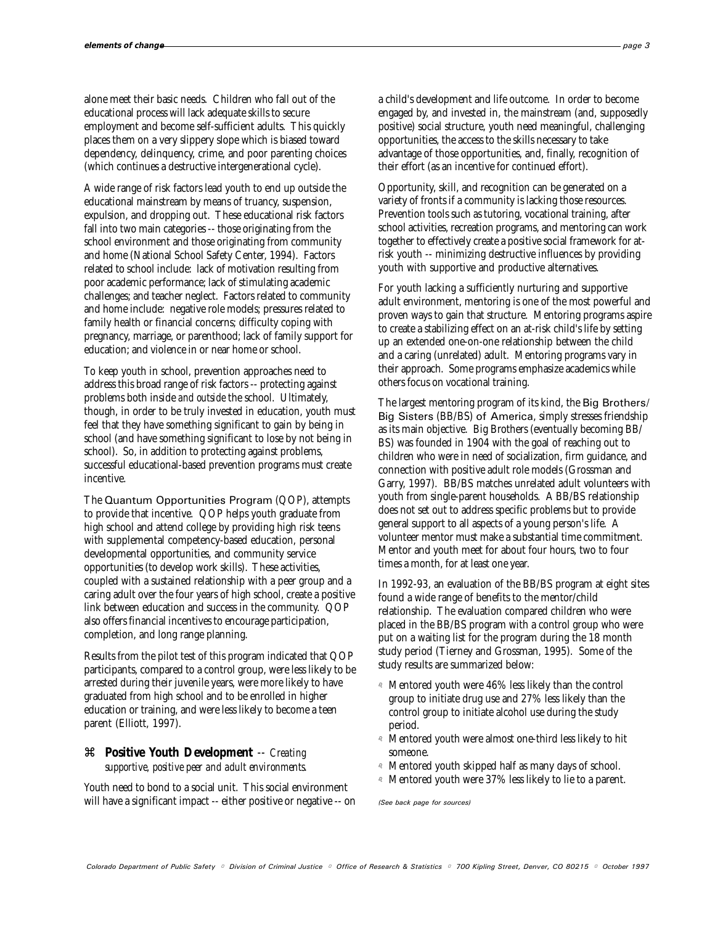alone meet their basic needs. Children who fall out of the educational process will lack adequate skills to secure employment and become self-sufficient adults. This quickly places them on a very slippery slope which is biased toward dependency, delinquency, crime, and poor parenting choices (which continues a destructive intergenerational cycle).

A wide range of risk factors lead youth to end up outside the educational mainstream by means of truancy, suspension, expulsion, and dropping out. These educational risk factors fall into two main categories -- those originating from the school environment and those originating from community and home (National School Safety Center, 1994). Factors related to school include: lack of motivation resulting from poor academic performance; lack of stimulating academic challenges; and teacher neglect. Factors related to community and home include: negative role models; pressures related to family health or financial concerns; difficulty coping with pregnancy, marriage, or parenthood; lack of family support for education; and violence in or near home or school.

To keep youth in school, prevention approaches need to address this broad range of risk factors -- protecting against problems both inside *and outside* the school. Ultimately, though, in order to be truly invested in education, youth must feel that they have something significant to gain by being in school (and have something significant to lose by not being in school). So, in addition to protecting against problems, successful educational-based prevention programs must create incentive.

The Quantum Opportunities Program (QOP), attempts to provide that incentive. QOP helps youth graduate from high school and attend college by providing high risk teens with supplemental competency-based education, personal developmental opportunities, and community service opportunities (to develop work skills). These activities, coupled with a sustained relationship with a peer group and a caring adult over the four years of high school, create a positive link between education and success in the community. QOP also offers financial incentives to encourage participation, completion, and long range planning.

Results from the pilot test of this program indicated that QOP participants, compared to a control group, were less likely to be arrested during their juvenile years, were more likely to have graduated from high school and to be enrolled in higher education or training, and were less likely to become a teen parent (Elliott, 1997).

# z **Positive Youth Development** *-- Creating supportive, positive peer and adult environments.*

Youth need to bond to a social unit. This social environment will have a significant impact -- either positive or negative -- on a child's development and life outcome. In order to become engaged by, and invested in, the mainstream (and, supposedly positive) social structure, youth need meaningful, challenging opportunities, the access to the skills necessary to take advantage of those opportunities, and, finally, recognition of their effort (as an incentive for continued effort).

Opportunity, skill, and recognition can be generated on a variety of fronts if a community is lacking those resources. Prevention tools such as tutoring, vocational training, after school activities, recreation programs, and mentoring can work together to effectively create a positive social framework for atrisk youth -- minimizing destructive influences by providing youth with supportive and productive alternatives.

For youth lacking a sufficiently nurturing and supportive adult environment, mentoring is one of the most powerful and proven ways to gain that structure. Mentoring programs aspire to create a stabilizing effect on an at-risk child's life by setting up an extended one-on-one relationship between the child and a caring (unrelated) adult. Mentoring programs vary in their approach. Some programs emphasize academics while others focus on vocational training.

The largest mentoring program of its kind, the Big Brothers/ Big Sisters (BB/BS) of America, simply stresses friendship as its main objective. Big Brothers (eventually becoming BB/ BS) was founded in 1904 with the goal of reaching out to children who were in need of socialization, firm guidance, and connection with positive adult role models (Grossman and Garry, 1997). BB/BS matches unrelated adult volunteers with youth from single-parent households. A BB/BS relationship does not set out to address specific problems but to provide general support to all aspects of a young person's life. A volunteer mentor must make a substantial time commitment. Mentor and youth meet for about four hours, two to four times a month, for at least one year.

In 1992-93, an evaluation of the BB/BS program at eight sites found a wide range of benefits to the mentor/child relationship. The evaluation compared children who were placed in the BB/BS program with a control group who were put on a waiting list for the program during the 18 month study period (Tierney and Grossman, 1995). Some of the study results are summarized below:

- $\alpha$  Mentored youth were 46% less likely than the control group to initiate drug use and 27% less likely than the control group to initiate alcohol use during the study period.
- <sup>a</sup> Mentored youth were almost one-third less likely to hit someone.
- <sup>a</sup> Mentored youth skipped half as many days of school.
- a Mentored youth were 37% less likely to lie to a parent.

(See back page for sources)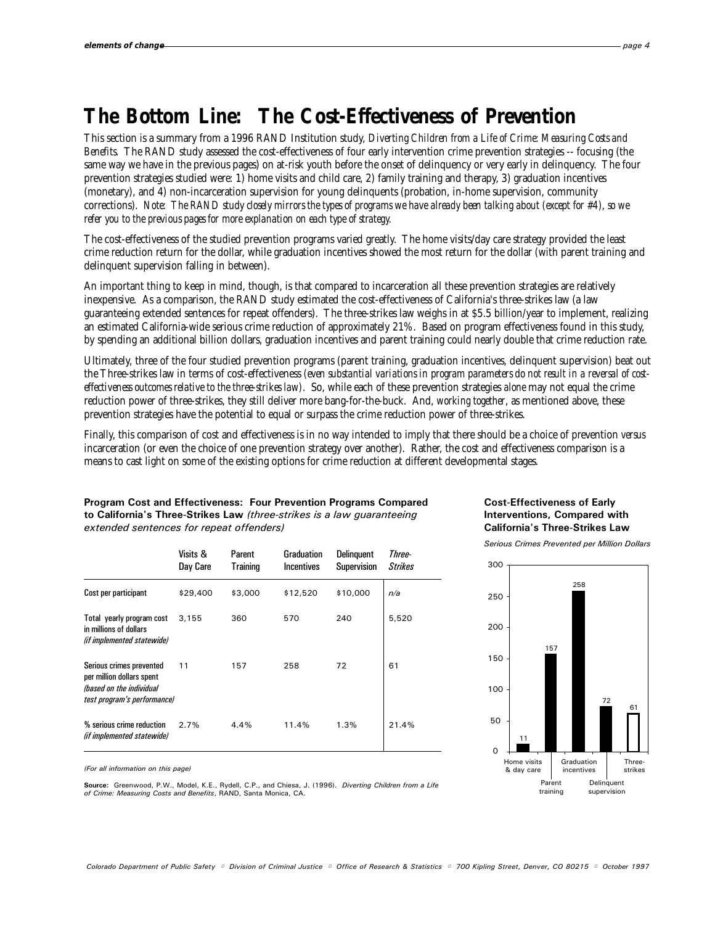# **The Bottom Line: The Cost-Effectiveness of Prevention**

This section is a summary from a 1996 RAND Institution study, *Diverting Children from a Life of Crime: Measuring Costs and Benefits*. The RAND study assessed the cost-effectiveness of four early intervention crime prevention strategies -- focusing (the same way we have in the previous pages) on at-risk youth before the onset of delinquency or very early in delinquency. The four prevention strategies studied were: 1) home visits and child care, 2) family training and therapy, 3) graduation incentives (monetary), and 4) non-incarceration supervision for young delinquents (probation, in-home supervision, community corrections). *Note: The RAND study closely mirrors the types of programs we have already been talking about (except for #4), so we refer you to the previous pages for more explanation on each type of strategy.*

The cost-effectiveness of the studied prevention programs varied greatly. The home visits/day care strategy provided the least crime reduction return for the dollar, while graduation incentives showed the most return for the dollar (with parent training and delinquent supervision falling in between).

An important thing to keep in mind, though, is that compared to incarceration all these prevention strategies are relatively inexpensive. As a comparison, the RAND study estimated the cost-effectiveness of California's three-strikes law (a law guaranteeing extended sentences for repeat offenders). The three-strikes law weighs in at \$5.5 billion/year to implement, realizing an estimated California-wide serious crime reduction of approximately 21%. Based on program effectiveness found in this study, by spending an additional billion dollars, graduation incentives and parent training could nearly double that crime reduction rate.

Ultimately, three of the four studied prevention programs (parent training, graduation incentives, delinquent supervision) beat out the Three-strikes law in terms of cost-effectiveness *(even substantial variations in program parameters do not result in a reversal of costeffectiveness outcomes relative to the three-strikes law)*. So, while each of these prevention strategies *alone* may not equal the crime reduction power of three-strikes, they still deliver more bang-for-the-buck. And, *working together*, as mentioned above, these prevention strategies have the potential to equal or surpass the crime reduction power of three-strikes.

Finally, this comparison of cost and effectiveness is in no way intended to imply that there should be a choice of prevention *versus* incarceration (or even the choice of one prevention strategy over another). Rather, the cost and effectiveness comparison is a means to cast light on some of the existing options for crime reduction at different developmental stages.

## Program Cost and Effectiveness: Four Prevention Programs Compared to California's Three-Strikes Law (three-strikes is a law guaranteeing extended sentences for repeat offenders)

|                                                                                                                  | Visits &<br>Day Care | Parent<br>Training | Graduation<br><b>Incentives</b> | <b>Delinguent</b><br><b>Supervision</b> | Three-<br><b>Strikes</b> |
|------------------------------------------------------------------------------------------------------------------|----------------------|--------------------|---------------------------------|-----------------------------------------|--------------------------|
| Cost per participant                                                                                             | \$29,400             | \$3,000            | \$12,520                        | \$10,000                                | n/a                      |
| Total yearly program cost<br>in millions of dollars<br>(if implemented statewide)                                | 3,155                | 360                | 570                             | 240                                     | 5,520                    |
| Serious crimes prevented<br>per million dollars spent<br>(based on the individual<br>test program's performance) | 11                   | 157                | 258                             | 72                                      | 61                       |
| % serious crime reduction<br>(if implemented statewide)                                                          | 2.7%                 | 4.4%               | 11.4%                           | 1.3%                                    | 21.4%                    |

Cost-Effectiveness of Early Interventions, Compared with California's Three-Strikes Law

Serious Crimes Prevented per Million Dollars



(For all information on this page)

Source: Greenwood, P.W., Model, K.E., Rydell, C.P., and Chiesa, J. (1996). Diverting Children from a Life of Crime: Measuring Costs and Benefits, RAND, Santa Monica, CA.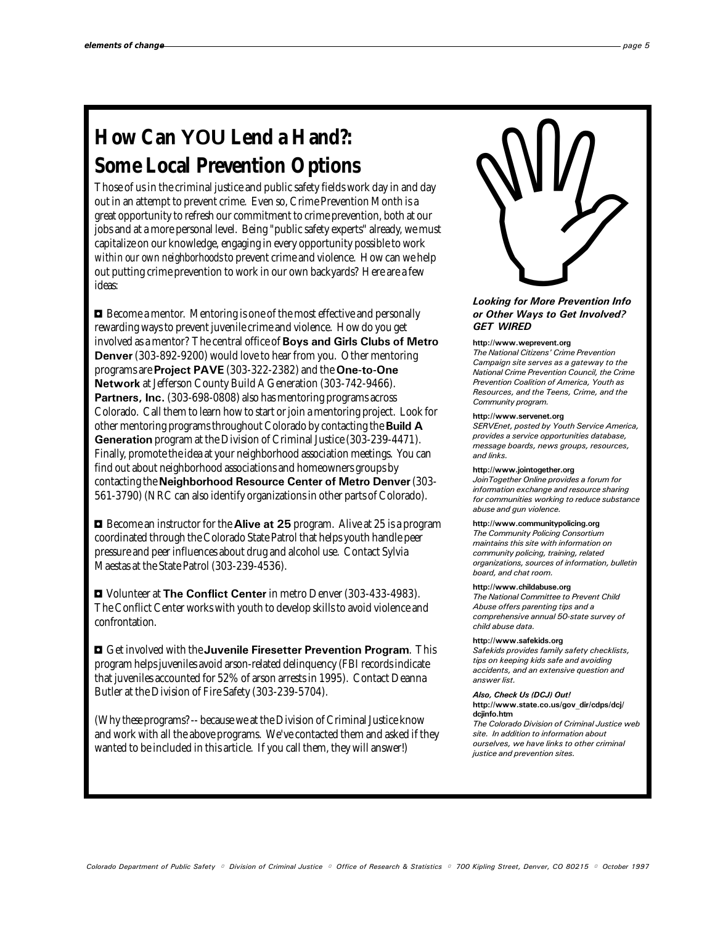# **Some Local Prevention Options**

How Can YOU Lend a Hand?:<br>
Some Local Prevention Options<br>
Those of us in the criminal justice and public safety fields work day in and day<br>
out in an attempt to prevent crime. Even so, Crime Prevention Month is a<br>
great op Those of us in the criminal justice and public safety fields work day in and day out in an attempt to prevent crime. Even so, Crime Prevention Month is a great opportunity to refresh our commitment to crime prevention, both at our jobs and at a more personal level. Being "public safety experts" already, we must capitalize on our knowledge, engaging in every opportunity possible to work *within our own neighborhoods* to prevent crime and violence. How can we help out putting crime prevention to work in our own backyards? Here are a few ideas:

 $\blacksquare$  Become a mentor. Mentoring is one of the most effective and personally rewarding ways to prevent juvenile crime and violence. How do you get involved as a mentor? The central office of Boys and Girls Clubs of Metro Denver (303-892-9200) would love to hear from you. Other mentoring programs are Project PAVE (303-322-2382) and the One-to-One Network at Jefferson County Build A Generation (303-742-9466). Partners, Inc. (303-698-0808) also has mentoring programs across Colorado. Call them to learn how to start or join a mentoring project. Look for other mentoring programs throughout Colorado by contacting the **Build A** Generation program at the Division of Criminal Justice (303-239-4471). Finally, promote the idea at your neighborhood association meetings. You can find out about neighborhood associations and homeowners groups by contacting the Neighborhood Resource Center of Metro Denver (303-561-3790) (NRC can also identify organizations in other parts of Colorado).

 $\blacksquare$  Become an instructor for the **Alive at 25** program. Alive at 25 is a program coordinated through the Colorado State Patrol that helps youth handle peer pressure and peer influences about drug and alcohol use. Contact Sylvia Maestas at the State Patrol (303-239-4536).

**D** Volunteer at The Conflict Center in metro Denver (303-433-4983). The Conflict Center works with youth to develop skills to avoid violence and confrontation.

 $\blacksquare$  Get involved with the Juvenile Firesetter Prevention Program. This program helps juveniles avoid arson-related delinquency (FBI records indicate that juveniles accounted for 52% of arson arrests in 1995). Contact Deanna Butler at the Division of Fire Safety (303-239-5704).

(Why *these* programs? -- because we at the Division of Criminal Justice know and work with all the above programs. We've contacted them and asked if they wanted to be included in this article. If you call them, they will answer!)

# Looking for More Prevention Info or Other Ways to Get Involved? GET WIRED

#### http://www.weprevent.org

The National Citizens' Crime Prevention Campaign site serves as a gateway to the National Crime Prevention Council, the Crime Prevention Coalition of America, Youth as Resources, and the Teens, Crime, and the Community program.

#### http://www.servenet.org

SERVEnet, posted by Youth Service America, provides a service opportunities database, message boards, news groups, resources, and links.

#### http://www.jointogether.org

JoinTogether Online provides a forum for information exchange and resource sharing for communities working to reduce substance abuse and gun violence.

#### http://www.communitypolicing.org

The Community Policing Consortium maintains this site with information on community policing, training, related organizations, sources of information, bulletin board, and chat room.

### http://www.childabuse.org

The National Committee to Prevent Child Abuse offers parenting tips and a comprehensive annual 50-state survey of child abuse data.

### http://www.safekids.org

Safekids provides family safety checklists, tips on keeping kids safe and avoiding accidents, and an extensive question and answer list.

#### Also, Check Us (DCJ) Out!

http://www.state.co.us/gov\_dir/cdps/dcj/ dcjinfo.htm The Colorado Division of Criminal Justice web

site. In addition to information about ourselves, we have links to other criminal justice and prevention sites.